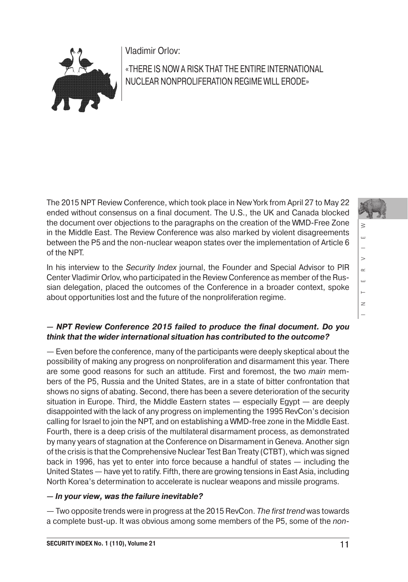

Vladimir Orlov:

«THERE IS NOW A RISK THAT THE ENTIRE INTERNATIONAL NUCLEAR NONPROLIFERATION REGIME WILL ERODE»

The 2015 NPT Review Conference, which took place in New York from April 27 to May 22 ended without consensus on a final document. The U.S., the UK and Canada blocked the document over objections to the paragraphs on the creation of the WMD-Free Zone in the Middle East. The Review Conference was also marked by violent disagreements between the P5 and the non-nuclear weapon states over the implementation of Article 6 of the NPT.

In his interview to the *Security Index* journal, the Founder and Special Advisor to PIR Center Vladimir Orlov, who participated in the Review Conference as member of the Russian delegation, placed the outcomes of the Conference in a broader context, spoke about opportunities lost and the future of the nonproliferation regime.

## **— NPT Review Conference 2015 failed to produce the final document. Do you think that the wider international situation has contributed to the outcome?**

— Even before the conference, many of the participants were deeply skeptical about the possibility of making any progress on nonproliferation and disarmament this year. There are some good reasons for such an attitude. First and foremost, the two main members of the P5, Russia and the United States, are in a state of bitter confrontation that shows no signs of abating. Second, there has been a severe deterioration of the security situation in Europe. Third, the Middle Eastern states  $-$  especially Egypt  $-$  are deeply disappointed with the lack of any progress on implementing the 1995 RevCon's decision calling for Israel to join the NPT, and on establishing a WMD-free zone in the Middle East. Fourth, there is a deep crisis of the multilateral disarmament process, as demonstrated by many years of stagnation at the Conference on Disarmament in Geneva. Another sign of the crisis is that the Comprehensive Nuclear Test Ban Treaty (CTBT), which was signed back in 1996, has yet to enter into force because a handful of states — including the United States — have yet to ratify. Fifth, there are growing tensions in East Asia, including North Korea's determination to accelerate is nuclear weapons and missile programs.

## **— In your view, was the failure inevitable?**

— Two opposite trends were in progress at the 2015 RevCon. The first trend was towards a complete bust-up. It was obvious among some members of the P5, some of the non $\leq$ INTERVIEW  $\overline{u}$ 

 $\geq$  $\alpha$ ш  $\vdash$  $\geq$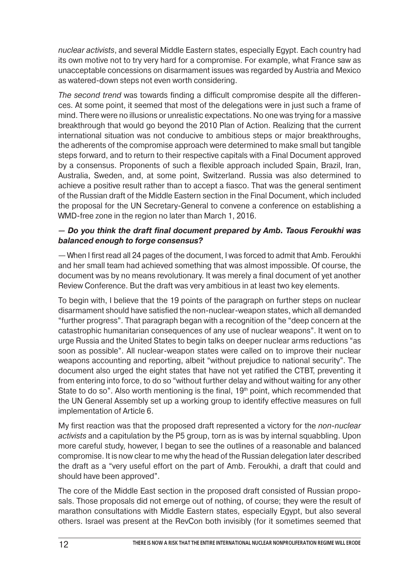nuclear activists, and several Middle Eastern states, especially Egypt. Each country had its own motive not to try very hard for a compromise. For example, what France saw as unacceptable concessions on disarmament issues was regarded by Austria and Mexico as watered-down steps not even worth considering.

The second trend was towards finding a difficult compromise despite all the differences. At some point, it seemed that most of the delegations were in just such a frame of mind. There were no illusions or unrealistic expectations. No one was trying for a massive breakthrough that would go beyond the 2010 Plan of Action. Realizing that the current international situation was not conducive to ambitious steps or major breakthroughs, the adherents of the compromise approach were determined to make small but tangible steps forward, and to return to their respective capitals with a Final Document approved by a consensus. Proponents of such a flexible approach included Spain, Brazil, Iran, Australia, Sweden, and, at some point, Switzerland. Russia was also determined to achieve a positive result rather than to accept a fiasco. That was the general sentiment of the Russian draft of the Middle Eastern section in the Final Document, which included the proposal for the UN Secretary-General to convene a conference on establishing a WMD-free zone in the region no later than March 1, 2016.

## **— Do you think the draft final document prepared by Amb. Taous Feroukhi was balanced enough to forge consensus?**

— When I first read all 24 pages of the document, I was forced to admit that Amb. Feroukhi and her small team had achieved something that was almost impossible. Of course, the document was by no means revolutionary. It was merely a final document of yet another Review Conference. But the draft was very ambitious in at least two key elements.

To begin with, I believe that the 19 points of the paragraph on further steps on nuclear disarmament should have satisfied the non-nuclear-weapon states, which all demanded "further progress". That paragraph began with a recognition of the "deep concern at the catastrophic humanitarian consequences of any use of nuclear weapons". It went on to urge Russia and the United States to begin talks on deeper nuclear arms reductions "as soon as possible". All nuclear-weapon states were called on to improve their nuclear weapons accounting and reporting, albeit "without prejudice to national security". The document also urged the eight states that have not yet ratified the CTBT, preventing it from entering into force, to do so "without further delay and without waiting for any other State to do so". Also worth mentioning is the final,  $19<sup>th</sup>$  point, which recommended that the UN General Assembly set up a working group to identify effective measures on full implementation of Article 6.

My first reaction was that the proposed draft represented a victory for the non-nuclear activists and a capitulation by the P5 group, torn as is was by internal squabbling. Upon more careful study, however, I began to see the outlines of a reasonable and balanced compromise. It is now clear to me why the head of the Russian delegation later described the draft as a "very useful effort on the part of Amb. Feroukhi, a draft that could and should have been approved".

The core of the Middle East section in the proposed draft consisted of Russian proposals. Those proposals did not emerge out of nothing, of course; they were the result of marathon consultations with Middle Eastern states, especially Egypt, but also several others. Israel was present at the RevCon both invisibly (for it sometimes seemed that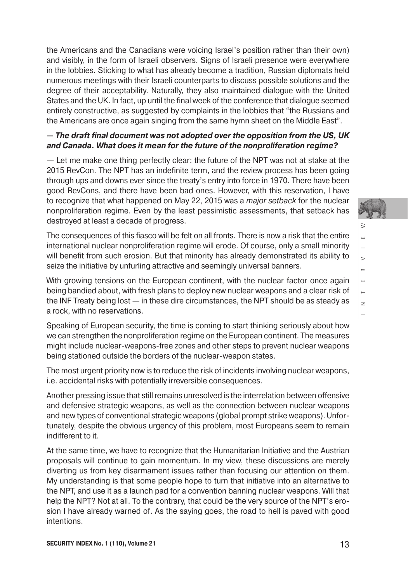the Americans and the Canadians were voicing Israel's position rather than their own) and visibly, in the form of Israeli observers. Signs of Israeli presence were everywhere in the lobbies. Sticking to what has already become a tradition, Russian diplomats held numerous meetings with their Israeli counterparts to discuss possible solutions and the degree of their acceptability. Naturally, they also maintained dialogue with the United States and the UK. In fact, up until the final week of the conference that dialogue seemed entirely constructive, as suggested by complaints in the lobbies that "the Russians and the Americans are once again singing from the same hymn sheet on the Middle East".

## **— The draft final document was not adopted over the opposition from the US, UK and Canada. What does it mean for the future of the nonproliferation regime?**

— Let me make one thing perfectly clear: the future of the NPT was not at stake at the 2015 RevCon. The NPT has an indefinite term, and the review process has been going through ups and downs ever since the treaty's entry into force in 1970. There have been good RevCons, and there have been bad ones. However, with this reservation, I have to recognize that what happened on May 22, 2015 was a major setback for the nuclear nonproliferation regime. Even by the least pessimistic assessments, that setback has destroyed at least a decade of progress.

The consequences of this fiasco will be felt on all fronts. There is now a risk that the entire international nuclear nonproliferation regime will erode. Of course, only a small minority will benefit from such erosion. But that minority has already demonstrated its ability to seize the initiative by unfurling attractive and seemingly universal banners.

With growing tensions on the European continent, with the nuclear factor once again being bandied about, with fresh plans to deploy new nuclear weapons and a clear risk of the INF Treaty being lost — in these dire circumstances, the NPT should be as steady as a rock, with no reservations.

Speaking of European security, the time is coming to start thinking seriously about how we can strengthen the nonproliferation regime on the European continent. The measures might include nuclear-weapons-free zones and other steps to prevent nuclear weapons being stationed outside the borders of the nuclear-weapon states.

The most urgent priority now is to reduce the risk of incidents involving nuclear weapons, i.e. accidental risks with potentially irreversible consequences.

Another pressing issue that still remains unresolved is the interrelation between offensive and defensive strategic weapons, as well as the connection between nuclear weapons and new types of conventional strategic weapons (global prompt strike weapons). Unfortunately, despite the obvious urgency of this problem, most Europeans seem to remain indifferent to it.

At the same time, we have to recognize that the Humanitarian Initiative and the Austrian proposals will continue to gain momentum. In my view, these discussions are merely diverting us from key disarmament issues rather than focusing our attention on them. My understanding is that some people hope to turn that initiative into an alternative to the NPT, and use it as a launch pad for a convention banning nuclear weapons. Will that help the NPT? Not at all. To the contrary, that could be the very source of the NPT's erosion I have already warned of. As the saying goes, the road to hell is paved with good intentions.



 $\ddot{\phantom{0}}$